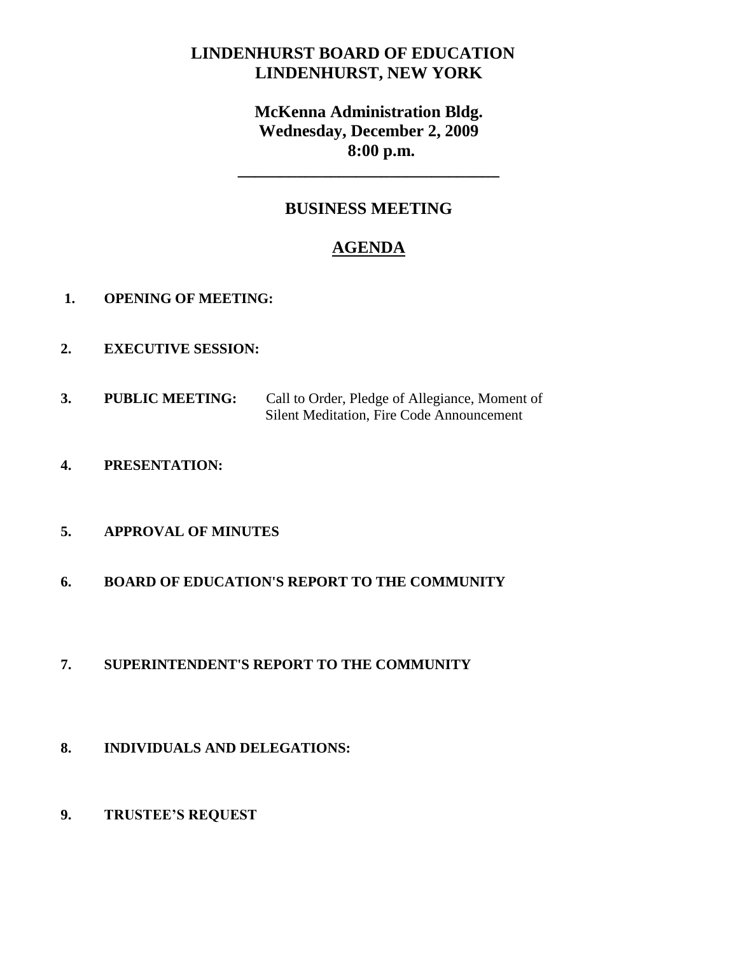# **LINDENHURST BOARD OF EDUCATION LINDENHURST, NEW YORK**

# **McKenna Administration Bldg. Wednesday, December 2, 2009 8:00 p.m.**

**\_\_\_\_\_\_\_\_\_\_\_\_\_\_\_\_\_\_\_\_\_\_\_\_\_\_\_\_\_\_\_**

# **BUSINESS MEETING**

# **AGENDA**

- **1. OPENING OF MEETING:**
- **2. EXECUTIVE SESSION:**
- **3. PUBLIC MEETING:** Call to Order, Pledge of Allegiance, Moment of Silent Meditation, Fire Code Announcement
- **4. PRESENTATION:**

## **5. APPROVAL OF MINUTES**

**6. BOARD OF EDUCATION'S REPORT TO THE COMMUNITY**

## **7. SUPERINTENDENT'S REPORT TO THE COMMUNITY**

- **8. INDIVIDUALS AND DELEGATIONS:**
- **9. TRUSTEE'S REQUEST**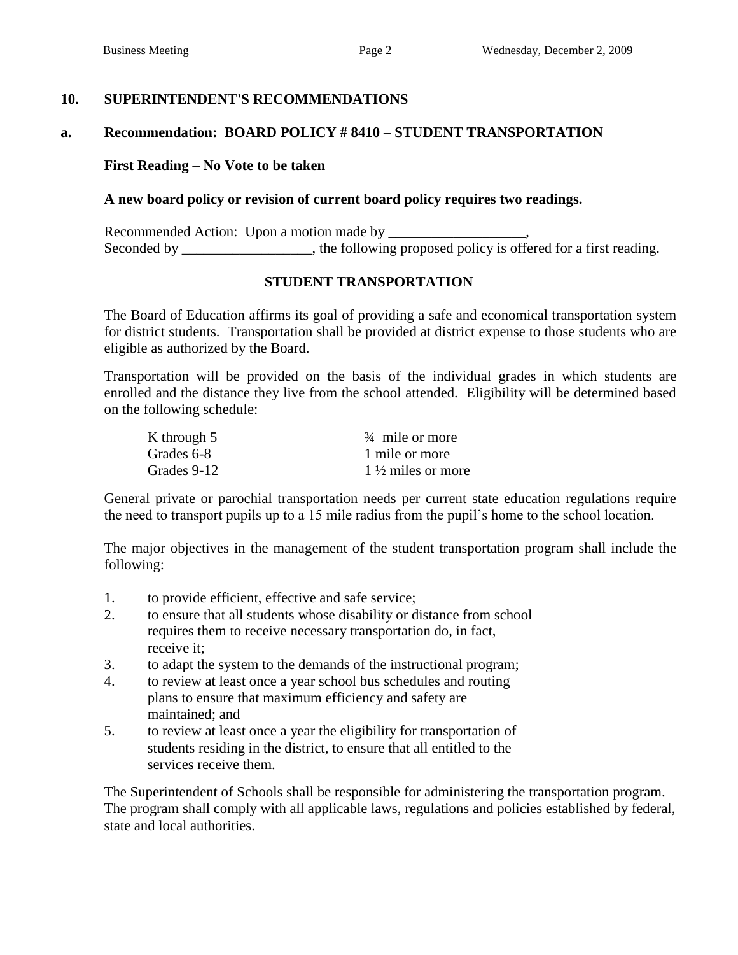## **10. SUPERINTENDENT'S RECOMMENDATIONS**

## **a. Recommendation: BOARD POLICY # 8410 – STUDENT TRANSPORTATION**

#### **First Reading – No Vote to be taken**

## **A new board policy or revision of current board policy requires two readings.**

Recommended Action: Upon a motion made by Seconded by \_\_\_\_\_\_\_\_\_\_\_\_, the following proposed policy is offered for a first reading.

### **STUDENT TRANSPORTATION**

The Board of Education affirms its goal of providing a safe and economical transportation system for district students. Transportation shall be provided at district expense to those students who are eligible as authorized by the Board.

Transportation will be provided on the basis of the individual grades in which students are enrolled and the distance they live from the school attended. Eligibility will be determined based on the following schedule:

| K through 5 | $\frac{3}{4}$ mile or more   |
|-------------|------------------------------|
| Grades 6-8  | 1 mile or more               |
| Grades 9-12 | $1\frac{1}{2}$ miles or more |

General private or parochial transportation needs per current state education regulations require the need to transport pupils up to a 15 mile radius from the pupil's home to the school location.

The major objectives in the management of the student transportation program shall include the following:

- 1. to provide efficient, effective and safe service;
- 2. to ensure that all students whose disability or distance from school requires them to receive necessary transportation do, in fact, receive it;
- 3. to adapt the system to the demands of the instructional program;
- 4. to review at least once a year school bus schedules and routing plans to ensure that maximum efficiency and safety are maintained; and
- 5. to review at least once a year the eligibility for transportation of students residing in the district, to ensure that all entitled to the services receive them.

The Superintendent of Schools shall be responsible for administering the transportation program. The program shall comply with all applicable laws, regulations and policies established by federal, state and local authorities.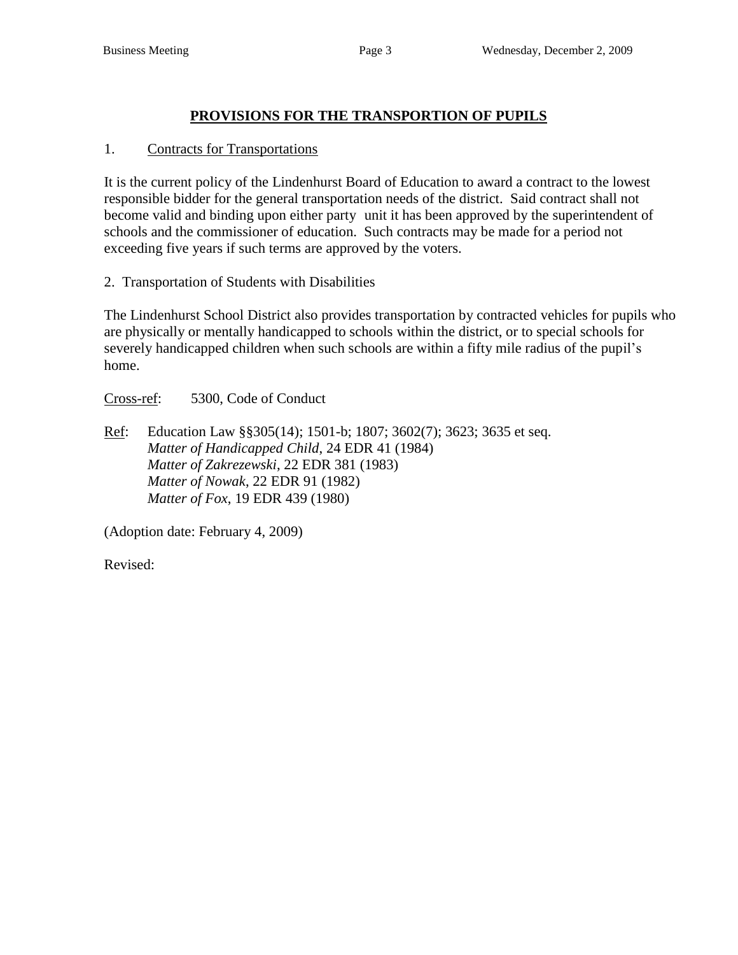## **PROVISIONS FOR THE TRANSPORTION OF PUPILS**

## 1. Contracts for Transportations

It is the current policy of the Lindenhurst Board of Education to award a contract to the lowest responsible bidder for the general transportation needs of the district. Said contract shall not become valid and binding upon either party unit it has been approved by the superintendent of schools and the commissioner of education. Such contracts may be made for a period not exceeding five years if such terms are approved by the voters.

2. Transportation of Students with Disabilities

The Lindenhurst School District also provides transportation by contracted vehicles for pupils who are physically or mentally handicapped to schools within the district, or to special schools for severely handicapped children when such schools are within a fifty mile radius of the pupil's home.

Cross-ref: 5300, Code of Conduct

Ref: Education Law §§305(14); 1501-b; 1807; 3602(7); 3623; 3635 et seq. *Matter of Handicapped Child*, 24 EDR 41 (1984) *Matter of Zakrezewski*, 22 EDR 381 (1983) *Matter of Nowak*, 22 EDR 91 (1982) *Matter of Fox*, 19 EDR 439 (1980)

(Adoption date: February 4, 2009)

Revised: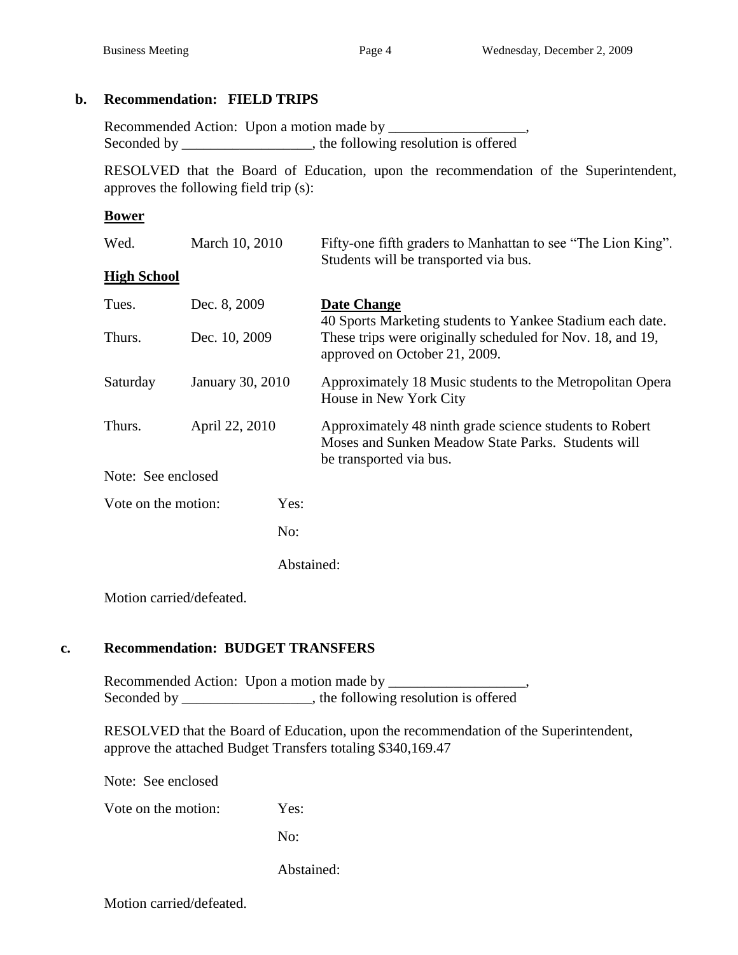## **b. Recommendation: FIELD TRIPS**

Recommended Action: Upon a motion made by \_\_\_\_\_\_\_\_\_\_\_\_\_\_ Seconded by \_\_\_\_\_\_\_\_\_\_\_\_\_\_\_, the following resolution is offered

RESOLVED that the Board of Education, upon the recommendation of the Superintendent, approves the following field trip (s):

## **Bower**

| Wed.                | March 10, 2010   |            | Fifty-one fifth graders to Manhattan to see "The Lion King".<br>Students will be transported via bus.                                    |  |  |
|---------------------|------------------|------------|------------------------------------------------------------------------------------------------------------------------------------------|--|--|
| <b>High School</b>  |                  |            |                                                                                                                                          |  |  |
| Tues.               | Dec. 8, 2009     |            | Date Change<br>40 Sports Marketing students to Yankee Stadium each date.                                                                 |  |  |
| Thurs.              | Dec. 10, 2009    |            | These trips were originally scheduled for Nov. 18, and 19,<br>approved on October 21, 2009.                                              |  |  |
| Saturday            | January 30, 2010 |            | Approximately 18 Music students to the Metropolitan Opera<br>House in New York City                                                      |  |  |
| Thurs.              | April 22, 2010   |            | Approximately 48 ninth grade science students to Robert<br>Moses and Sunken Meadow State Parks. Students will<br>be transported via bus. |  |  |
| Note: See enclosed  |                  |            |                                                                                                                                          |  |  |
| Vote on the motion: |                  | Yes:       |                                                                                                                                          |  |  |
|                     |                  | No:        |                                                                                                                                          |  |  |
|                     |                  | Abstained: |                                                                                                                                          |  |  |

Motion carried/defeated.

## **c. Recommendation: BUDGET TRANSFERS**

Recommended Action: Upon a motion made by \_\_\_\_\_\_\_\_\_\_\_\_\_\_\_\_\_\_\_, Seconded by \_\_\_\_\_\_\_\_\_\_\_\_\_\_\_, the following resolution is offered

RESOLVED that the Board of Education, upon the recommendation of the Superintendent, approve the attached Budget Transfers totaling \$340,169.47

Note: See enclosed

Vote on the motion: Yes:

No:

Abstained:

Motion carried/defeated.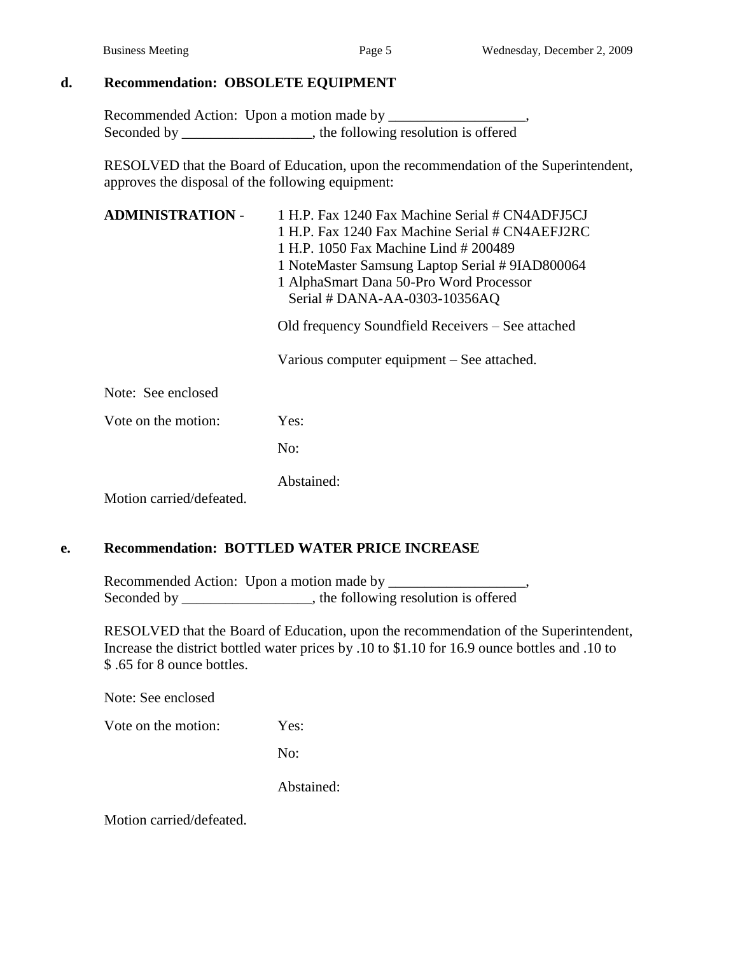## **d. Recommendation: OBSOLETE EQUIPMENT**

Recommended Action: Upon a motion made by \_\_\_\_\_\_\_\_\_\_\_\_\_\_\_\_\_\_\_, Seconded by \_\_\_\_\_\_\_\_\_\_\_\_\_\_\_, the following resolution is offered

RESOLVED that the Board of Education, upon the recommendation of the Superintendent, approves the disposal of the following equipment:

| <b>ADMINISTRATION -</b>  | 1 H.P. Fax 1240 Fax Machine Serial # CN4ADFJ5CJ<br>1 H.P. Fax 1240 Fax Machine Serial # CN4AEFJ2RC<br>1 H.P. 1050 Fax Machine Lind # 200489<br>1 NoteMaster Samsung Laptop Serial #9IAD800064<br>1 AlphaSmart Dana 50-Pro Word Processor<br>Serial # DANA-AA-0303-10356AQ<br>Old frequency Soundfield Receivers – See attached<br>Various computer equipment – See attached. |  |
|--------------------------|------------------------------------------------------------------------------------------------------------------------------------------------------------------------------------------------------------------------------------------------------------------------------------------------------------------------------------------------------------------------------|--|
| Note: See enclosed       |                                                                                                                                                                                                                                                                                                                                                                              |  |
| Vote on the motion:      | Yes:                                                                                                                                                                                                                                                                                                                                                                         |  |
|                          | No:                                                                                                                                                                                                                                                                                                                                                                          |  |
| Motion carried/defeated. | Abstained:                                                                                                                                                                                                                                                                                                                                                                   |  |

## **e. Recommendation: BOTTLED WATER PRICE INCREASE**

Recommended Action: Upon a motion made by Seconded by \_\_\_\_\_\_\_\_\_\_\_\_\_\_, the following resolution is offered

RESOLVED that the Board of Education, upon the recommendation of the Superintendent, Increase the district bottled water prices by .10 to \$1.10 for 16.9 ounce bottles and .10 to \$ .65 for 8 ounce bottles.

Note: See enclosed

Vote on the motion: Yes:

No:

Abstained:

Motion carried/defeated.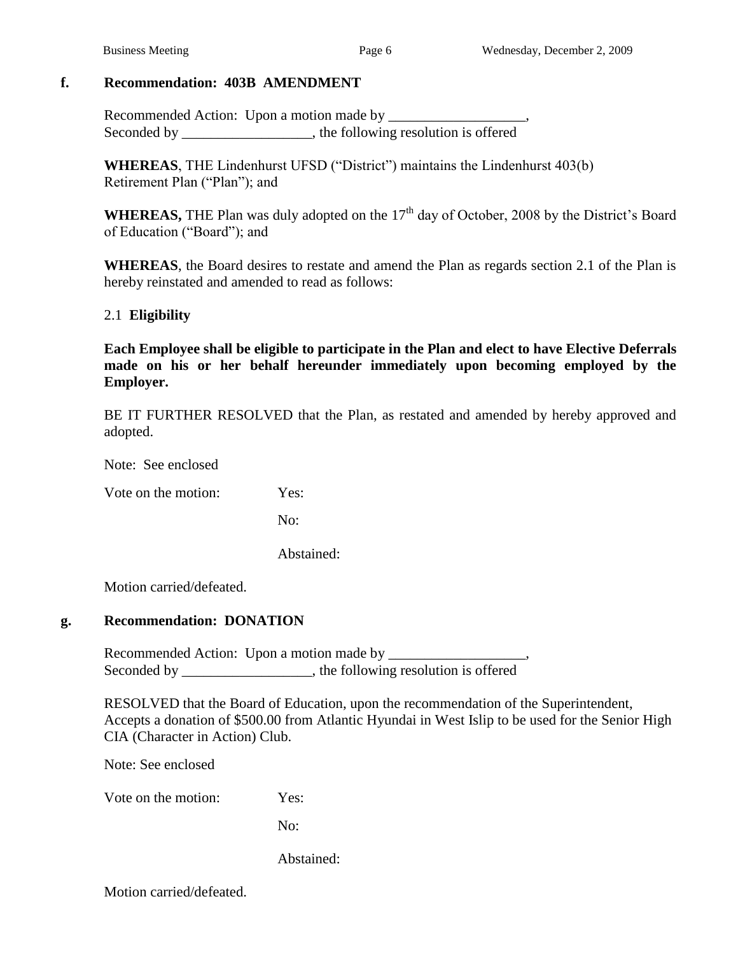## **f. Recommendation: 403B AMENDMENT**

Recommended Action: Upon a motion made by \_\_\_\_\_\_\_\_\_\_\_\_\_\_\_\_\_\_\_, Seconded by \_\_\_\_\_\_\_\_\_\_\_\_\_\_\_, the following resolution is offered

**WHEREAS**, THE Lindenhurst UFSD ("District") maintains the Lindenhurst 403(b) Retirement Plan ("Plan"); and

**WHEREAS,** THE Plan was duly adopted on the 17<sup>th</sup> day of October, 2008 by the District's Board of Education ("Board"); and

**WHEREAS**, the Board desires to restate and amend the Plan as regards section 2.1 of the Plan is hereby reinstated and amended to read as follows:

#### 2.1 **Eligibility**

**Each Employee shall be eligible to participate in the Plan and elect to have Elective Deferrals made on his or her behalf hereunder immediately upon becoming employed by the Employer.**

BE IT FURTHER RESOLVED that the Plan, as restated and amended by hereby approved and adopted.

Note: See enclosed

Vote on the motion: Yes:

No:

Abstained:

Motion carried/defeated.

## **g. Recommendation: DONATION**

Recommended Action: Upon a motion made by \_\_\_\_\_\_\_\_\_\_\_\_\_\_\_\_\_\_\_, Seconded by \_\_\_\_\_\_\_\_\_\_\_\_\_\_\_, the following resolution is offered

RESOLVED that the Board of Education, upon the recommendation of the Superintendent, Accepts a donation of \$500.00 from Atlantic Hyundai in West Islip to be used for the Senior High CIA (Character in Action) Club.

Note: See enclosed

Vote on the motion: Yes:

No:

Abstained:

Motion carried/defeated.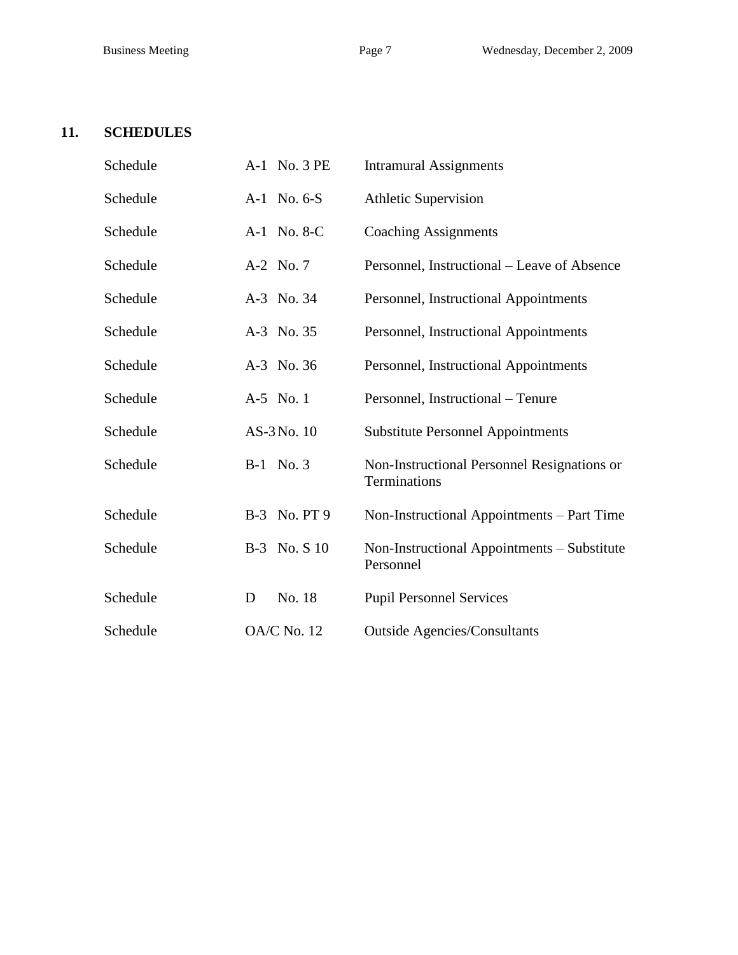# **11. SCHEDULES**

| Schedule | A-1 No. 3 PE       | <b>Intramural Assignments</b>                               |  |
|----------|--------------------|-------------------------------------------------------------|--|
| Schedule | A-1 No. 6-S        | <b>Athletic Supervision</b>                                 |  |
| Schedule | A-1 No. 8-C        | <b>Coaching Assignments</b>                                 |  |
| Schedule | A-2 No. 7          | Personnel, Instructional – Leave of Absence                 |  |
| Schedule | A-3 No. 34         | Personnel, Instructional Appointments                       |  |
| Schedule | A-3 No. 35         | Personnel, Instructional Appointments                       |  |
| Schedule | A-3 No. 36         | Personnel, Instructional Appointments                       |  |
| Schedule | A-5 No. 1          | Personnel, Instructional - Tenure                           |  |
| Schedule | AS-3 No. 10        | <b>Substitute Personnel Appointments</b>                    |  |
| Schedule | B-1 No. 3          | Non-Instructional Personnel Resignations or<br>Terminations |  |
| Schedule | B-3 No. PT 9       | Non-Instructional Appointments – Part Time                  |  |
| Schedule | B-3 No. S 10       | Non-Instructional Appointments – Substitute<br>Personnel    |  |
| Schedule | No. 18<br>D        | <b>Pupil Personnel Services</b>                             |  |
| Schedule | <b>OA/C No. 12</b> | <b>Outside Agencies/Consultants</b>                         |  |